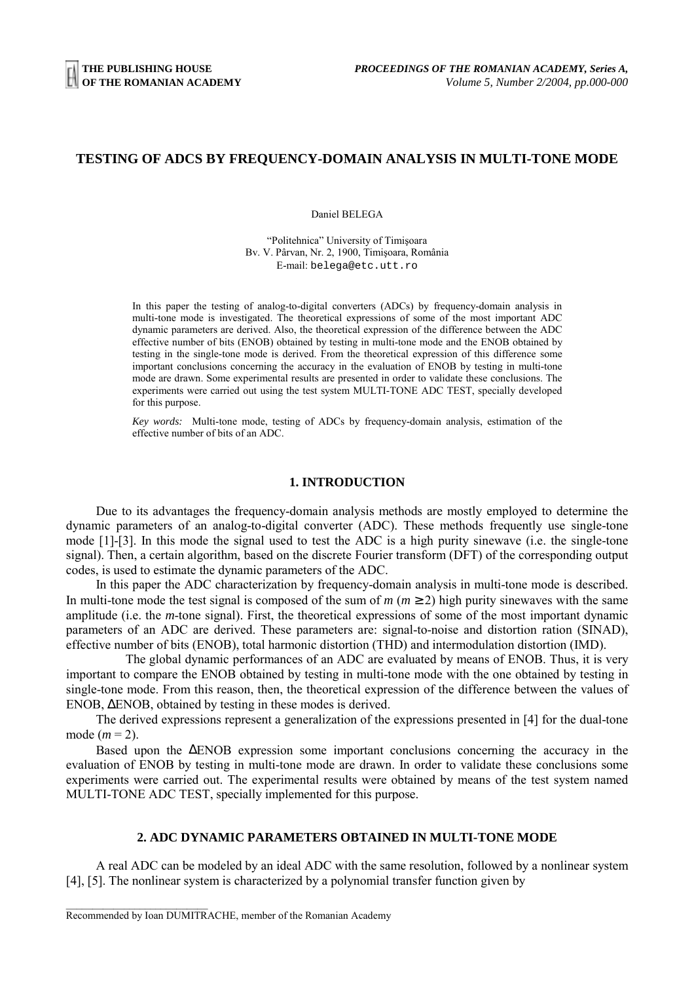# **TESTING OF ADCS BY FREQUENCY-DOMAIN ANALYSIS IN MULTI-TONE MODE**

Daniel BELEGA

"Politehnica" University of Timişoara Bv. V. Pârvan, Nr. 2, 1900, Timişoara, România E-mail: belega@etc.utt.ro

In this paper the testing of analog-to-digital converters (ADCs) by frequency-domain analysis in multi-tone mode is investigated. The theoretical expressions of some of the most important ADC dynamic parameters are derived. Also, the theoretical expression of the difference between the ADC effective number of bits (ENOB) obtained by testing in multi-tone mode and the ENOB obtained by testing in the single-tone mode is derived. From the theoretical expression of this difference some important conclusions concerning the accuracy in the evaluation of ENOB by testing in multi-tone mode are drawn. Some experimental results are presented in order to validate these conclusions. The experiments were carried out using the test system MULTI-TONE ADC TEST, specially developed for this purpose.

*Key words:* Multi-tone mode, testing of ADCs by frequency-domain analysis, estimation of the effective number of bits of an ADC.

#### **1. INTRODUCTION**

Due to its advantages the frequency-domain analysis methods are mostly employed to determine the dynamic parameters of an analog-to-digital converter (ADC). These methods frequently use single-tone mode [1]-[3]. In this mode the signal used to test the ADC is a high purity sinewave (i.e. the single-tone signal). Then, a certain algorithm, based on the discrete Fourier transform (DFT) of the corresponding output codes, is used to estimate the dynamic parameters of the ADC.

In this paper the ADC characterization by frequency-domain analysis in multi-tone mode is described. In multi-tone mode the test signal is composed of the sum of  $m (m \ge 2)$  high purity sinewaves with the same amplitude (i.e. the *m*-tone signal). First, the theoretical expressions of some of the most important dynamic parameters of an ADC are derived. These parameters are: signal-to-noise and distortion ration (SINAD), effective number of bits (ENOB), total harmonic distortion (THD) and intermodulation distortion (IMD).

The global dynamic performances of an ADC are evaluated by means of ENOB. Thus, it is very important to compare the ENOB obtained by testing in multi-tone mode with the one obtained by testing in single-tone mode. From this reason, then, the theoretical expression of the difference between the values of ENOB, ∆ENOB, obtained by testing in these modes is derived.

The derived expressions represent a generalization of the expressions presented in [4] for the dual-tone mode  $(m=2)$ .

Based upon the ∆ENOB expression some important conclusions concerning the accuracy in the evaluation of ENOB by testing in multi-tone mode are drawn. In order to validate these conclusions some experiments were carried out. The experimental results were obtained by means of the test system named MULTI-TONE ADC TEST, specially implemented for this purpose.

## **2. ADC DYNAMIC PARAMETERS OBTAINED IN MULTI-TONE MODE**

A real ADC can be modeled by an ideal ADC with the same resolution, followed by a nonlinear system [4], [5]. The nonlinear system is characterized by a polynomial transfer function given by

 $\mathcal{L}_\text{max}$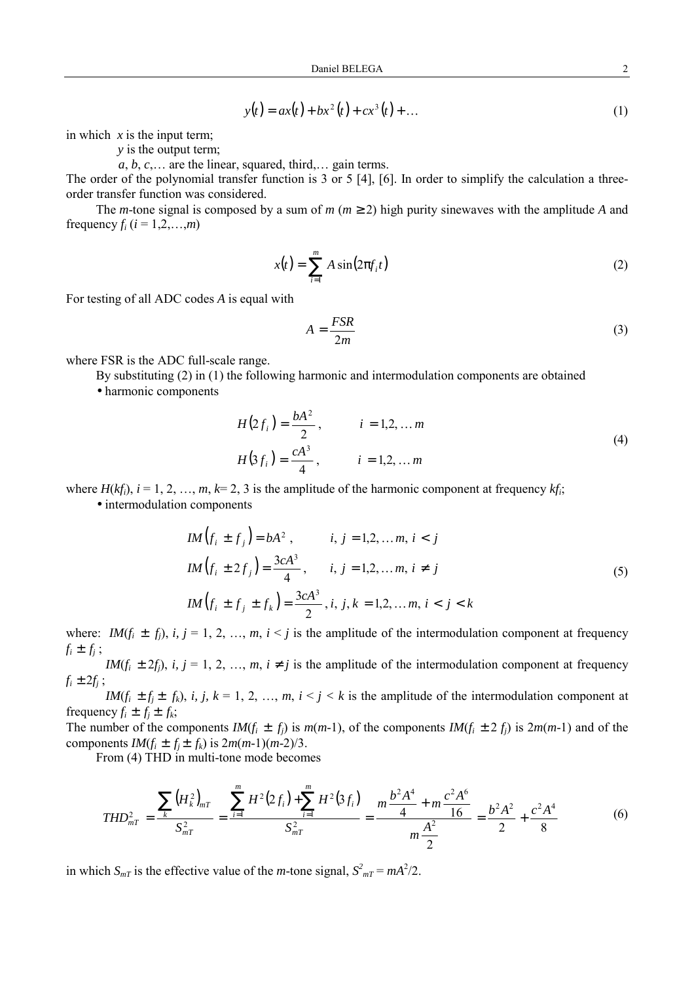$$
y(t) = ax(t) + bx^{2}(t) + cx^{3}(t) + ... \tag{1}
$$

in which  $x$  is the input term;

*y* is the output term;

 $a, b, c, \ldots$  are the linear, squared, third,... gain terms.

The order of the polynomial transfer function is 3 or 5 [4], [6]. In order to simplify the calculation a threeorder transfer function was considered.

The *m*-tone signal is composed by a sum of  $m (m \ge 2)$  high purity sinewaves with the amplitude A and frequency  $f_i$  ( $i = 1, 2, \ldots, m$ )

$$
x(t) = \sum_{i=1}^{m} A \sin(2\pi f_i t) \tag{2}
$$

For testing of all ADC codes *A* is equal with

$$
A = \frac{FSR}{2m} \tag{3}
$$

where FSR is the ADC full-scale range.

By substituting (2) in (1) the following harmonic and intermodulation components are obtained

• harmonic components

$$
H(2f_i) = \frac{bA^2}{2}, \qquad i = 1, 2, \dots m
$$
  

$$
H(3f_i) = \frac{cA^3}{4}, \qquad i = 1, 2, \dots m
$$
 (4)

where  $H(kf_i)$ ,  $i = 1, 2, ..., m$ ,  $k = 2, 3$  is the amplitude of the harmonic component at frequency  $kf_i$ ;

• intermodulation components

$$
IM(f_i \pm f_j) = bA^2, \qquad i, j = 1, 2, \dots m, i < j
$$
  
\n
$$
IM(f_i \pm 2f_j) = \frac{3cA^3}{4}, \qquad i, j = 1, 2, \dots m, i \neq j
$$
  
\n
$$
IM(f_i \pm f_j \pm f_k) = \frac{3cA^3}{2}, i, j, k = 1, 2, \dots m, i < j < k
$$
\n(5)

where: *IM*( $f_i \pm f_i$ ),  $i, j = 1, 2, ..., m, i < j$  is the amplitude of the intermodulation component at frequency  $f_i \pm f_j$ ;

*IM*( $f_i \pm 2f_i$ ), *i,*  $j = 1, 2, ..., m$ ,  $i \neq j$  is the amplitude of the intermodulation component at frequency  $f_i \pm 2f_j$ ;

*IM*( $f_i \pm f_j \pm f_k$ ), *i, j, k* = 1, 2, …, *m, i* < *j* < *k* is the amplitude of the intermodulation component at frequency  $f_i \pm f_j \pm f_k$ ;

The number of the components *IM*( $f_i \pm f_j$ ) is  $m(m-1)$ , of the components *IM*( $f_i \pm 2 f_j$ ) is  $2m(m-1)$  and of the components *IM*( $f_i \pm f_j \pm f_k$ ) is  $2m(m-1)(m-2)/3$ .

From (4) THD in multi-tone mode becomes

$$
THD_{mT}^{2} = \frac{\sum_{k} (H_{k}^{2})_{mT}}{S_{mT}^{2}} = \frac{\sum_{i=1}^{m} H^{2}(2f_{i}) + \sum_{i=1}^{m} H^{2}(3f_{i})}{S_{mT}^{2}} = \frac{m\frac{b^{2}A^{4}}{4} + m\frac{c^{2}A^{6}}{16}}{m\frac{A^{2}}{2}} = \frac{b^{2}A^{2}}{2} + \frac{c^{2}A^{4}}{8}
$$
(6)

in which  $S_{mT}$  is the effective value of the *m*-tone signal,  $S_{mT}^2 = mA^2/2$ .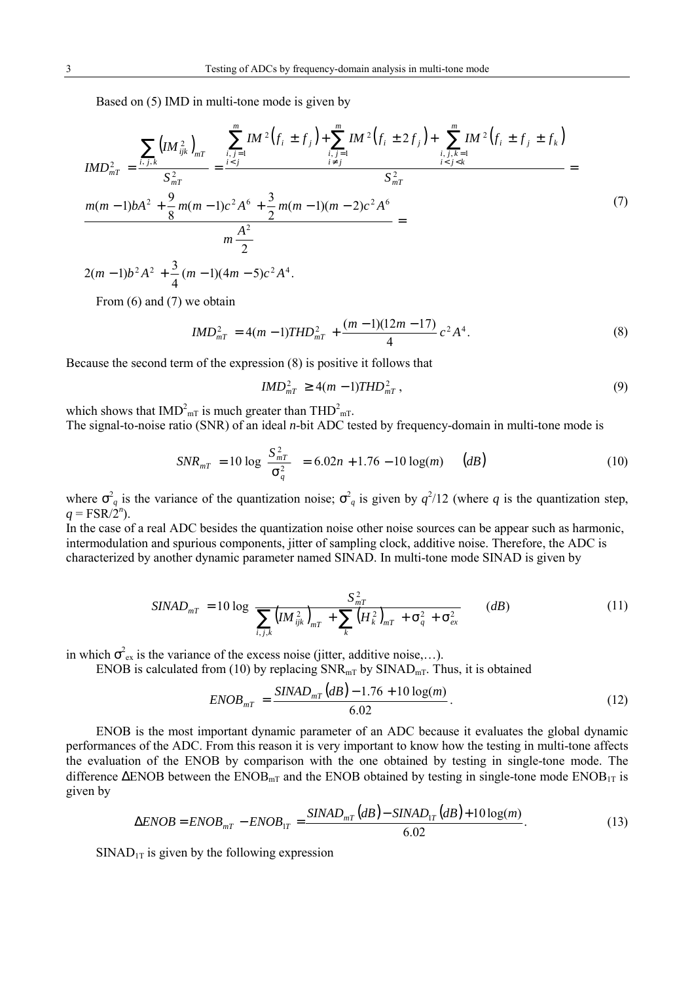Based on (5) IMD in multi-tone mode is given by

$$
IMD_{mT}^{2} = \frac{\sum_{i,j,k}^{N} \left( IM_{ijk}^{2} \right)_{mT}}{S_{mT}^{2}} = \frac{\sum_{i,j=1}^{m} IM^{2} \left( f_{i} \pm f_{j} \right) + \sum_{i,j=1}^{m} IM^{2} \left( f_{i} \pm 2f_{j} \right) + \sum_{i,j,k=1}^{m} IM^{2} \left( f_{i} \pm f_{j} \pm f_{k} \right)}{S_{mT}^{2}} = \frac{S_{mT}^{2}}{S_{mT}^{2}} = \frac{S_{mT}^{2}}{N}
$$
\n
$$
= \frac{m(m-1)bA^{2} + \frac{9}{8}m(m-1)c^{2}A^{6} + \frac{3}{2}m(m-1)(m-2)c^{2}A^{6}}{m\frac{A^{2}}{2}} = \frac{m\frac{A^{2}}{2}}{N}
$$
\n
$$
= \frac{2(m-1)b^{2}A^{2} + \frac{3}{2}(m-1)(4m-5)c^{2}A^{4}}{N}
$$
\n(7)

$$
2(m-1)b^{2}A^{2} + \frac{3}{4}(m-1)(4m-5)c^{2}A^{4}.
$$

From (6) and (7) we obtain

$$
IMDMT2 = 4(m-1)THDMT2 + \frac{(m-1)(12m-17)}{4}c2A4.
$$
 (8)

Because the second term of the expression (8) is positive it follows that

$$
IMD_{mT}^2 \ge 4(m-1)THD_{mT}^2, \tag{9}
$$

which shows that  $\text{IMD}^2_{\text{mT}}$  is much greater than THD<sup>2</sup><sub>mT</sub>.

The signal-to-noise ratio (SNR) of an ideal *n*-bit ADC tested by frequency-domain in multi-tone mode is

$$
SNR_{mT} = 10 \log \left( \frac{S_{mT}^2}{\sigma_q^2} \right) = 6.02n + 1.76 - 10 \log(m) \quad (dB)
$$
 (10)

where  $\sigma_q^2$  is the variance of the quantization noise;  $\sigma_q^2$  is given by  $q^2/12$  (where q is the quantization step,  $q = FSR/2^n$ ).

In the case of a real ADC besides the quantization noise other noise sources can be appear such as harmonic, intermodulation and spurious components, jitter of sampling clock, additive noise. Therefore, the ADC is characterized by another dynamic parameter named SINAD. In multi-tone mode SINAD is given by

$$
SINAD_{mT} = 10 \log \left( \frac{S_{mT}^2}{\sum_{i,j,k} \left( I M_{ijk}^2 \right)_{mT} + \sum_k \left( H_k^2 \right)_{mT} + \sigma_q^2 + \sigma_{ex}^2} \right) \quad (dB)
$$
 (11)

in which  $\sigma_{ex}^2$  is the variance of the excess noise (jitter, additive noise,...).

ENOB is calculated from (10) by replacing  $SNR_{mT}$  by  $SINAD_{mT}$ . Thus, it is obtained

$$
ENOB_{mT} = \frac{SINAD_{mT} (dB) - 1.76 + 10 \log(m)}{6.02}.
$$
 (12)

ENOB is the most important dynamic parameter of an ADC because it evaluates the global dynamic performances of the ADC. From this reason it is very important to know how the testing in multi-tone affects the evaluation of the ENOB by comparison with the one obtained by testing in single-tone mode. The difference  $\Delta$ ENOB between the ENOB<sub>mT</sub> and the ENOB obtained by testing in single-tone mode ENOB<sub>1T</sub> is given by

$$
\Delta ENOB = ENOB_{mT} - ENOB_{1T} = \frac{SINAD_{mT} (dB) - SINAD_{1T} (dB) + 10 \log(m)}{6.02}.
$$
\n(13)

 $SINAD<sub>1T</sub>$  is given by the following expression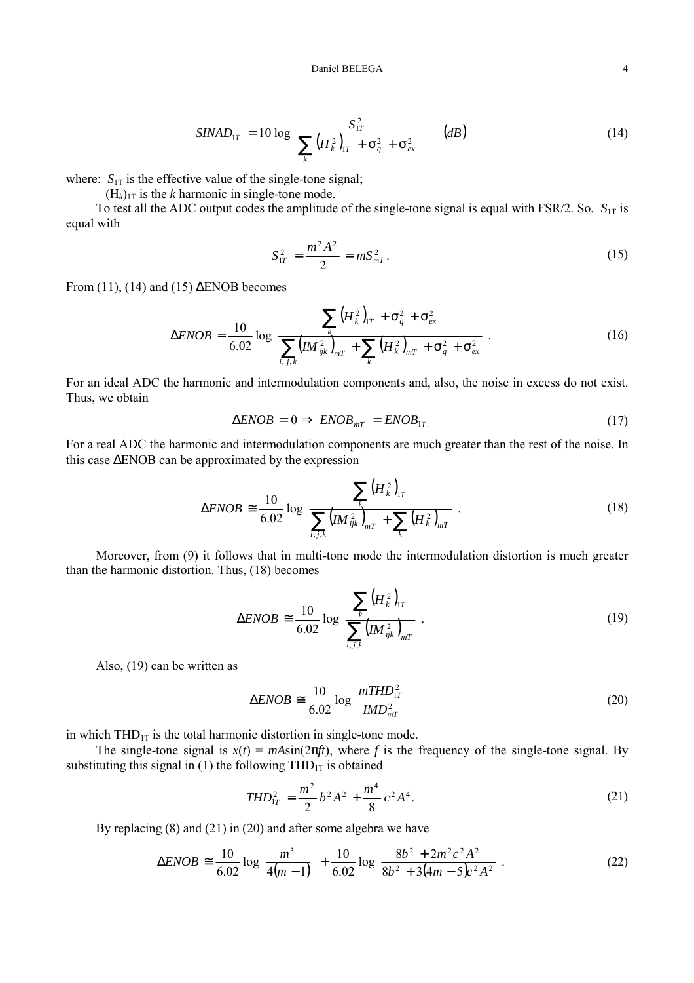$$
SINAD_{1T} = 10 \log \left( \frac{S_{1T}^2}{\sum_{k} \left( H_k^2 \right)_{1T} + \sigma_q^2 + \sigma_{ex}^2} \right) \quad (dB)
$$
 (14)

where:  $S_{1T}$  is the effective value of the single-tone signal;

 $(H_k)_{1T}$  is the *k* harmonic in single-tone mode.

To test all the ADC output codes the amplitude of the single-tone signal is equal with FSR/2. So, *S*1T is equal with

$$
S_{1T}^2 = \frac{m^2 A^2}{2} = m S_{mT}^2.
$$
 (15)

From (11), (14) and (15)  $\triangle$ ENOB becomes

$$
\Delta ENOB = \frac{10}{6.02} \log \left( \frac{\sum_{k} (H_k^2)_{1T} + \sigma_q^2 + \sigma_{ex}^2}{\sum_{i,j,k} (IM_{ijk}^2)_{mT} + \sum_{k} (H_k^2)_{mT} + \sigma_q^2 + \sigma_{ex}^2} \right)
$$
(16)

For an ideal ADC the harmonic and intermodulation components and, also, the noise in excess do not exist. Thus, we obtain

$$
\Delta ENOB = 0 \Rightarrow ENOB_{mT} = ENOB_{1T} \tag{17}
$$

For a real ADC the harmonic and intermodulation components are much greater than the rest of the noise. In this case ∆ENOB can be approximated by the expression

$$
\Delta ENOB \cong \frac{10}{6.02} \log \left( \frac{\sum_{k} (H_k^2)_{1T}}{\sum_{i,j,k} (IM_{ijk}^2)_{mT} + \sum_{k} (H_k^2)_{mT}} \right)
$$
(18)

Moreover, from (9) it follows that in multi-tone mode the intermodulation distortion is much greater than the harmonic distortion. Thus, (18) becomes

$$
\Delta ENOB \cong \frac{10}{6.02} \log \left( \frac{\sum_{k} (H_k^2)_{1T}}{\sum_{i,j,k} (IM_{ijk}^2)_{mT}} \right)
$$
 (19)

Also, (19) can be written as

$$
\Delta ENOB \cong \frac{10}{6.02} \log \left( \frac{mTHD_{1T}^2}{IMD_{mT}^2} \right) \tag{20}
$$

in which  $THD_{1T}$  is the total harmonic distortion in single-tone mode.

The single-tone signal is  $x(t) = mA\sin(2\pi ft)$ , where *f* is the frequency of the single-tone signal. By substituting this signal in (1) the following  $THD_{1T}$  is obtained

$$
THD_{1T}^2 = \frac{m^2}{2}b^2A^2 + \frac{m^4}{8}c^2A^4.
$$
 (21)

By replacing (8) and (21) in (20) and after some algebra we have

$$
\Delta ENOB \cong \frac{10}{6.02} \log \left( \frac{m^3}{4(m-1)} \right) + \frac{10}{6.02} \log \left( \frac{8b^2 + 2m^2c^2A^2}{8b^2 + 3(4m - 5)c^2A^2} \right)
$$
(22)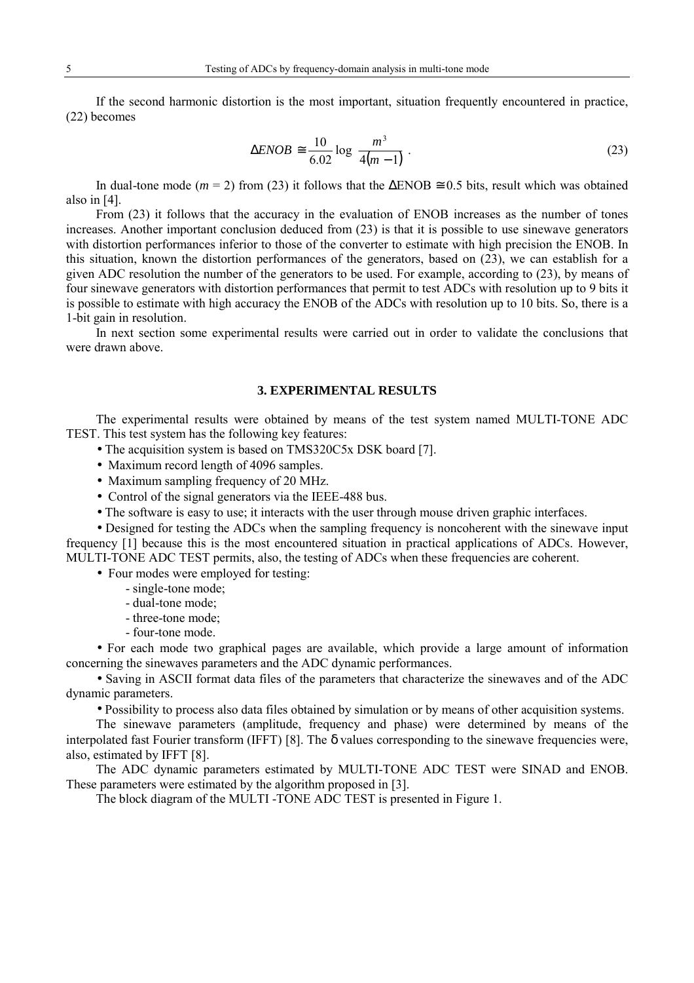If the second harmonic distortion is the most important, situation frequently encountered in practice, (22) becomes

$$
\Delta ENOB \cong \frac{10}{6.02} \log \left( \frac{m^3}{4(m-1)} \right) \tag{23}
$$

In dual-tone mode ( $m = 2$ ) from (23) it follows that the  $\triangle$ ENOB  $\cong$  0.5 bits, result which was obtained also in [4].

From (23) it follows that the accuracy in the evaluation of ENOB increases as the number of tones increases. Another important conclusion deduced from (23) is that it is possible to use sinewave generators with distortion performances inferior to those of the converter to estimate with high precision the ENOB. In this situation, known the distortion performances of the generators, based on (23), we can establish for a given ADC resolution the number of the generators to be used. For example, according to (23), by means of four sinewave generators with distortion performances that permit to test ADCs with resolution up to 9 bits it is possible to estimate with high accuracy the ENOB of the ADCs with resolution up to 10 bits. So, there is a 1-bit gain in resolution.

In next section some experimental results were carried out in order to validate the conclusions that were drawn above.

# **3. EXPERIMENTAL RESULTS**

The experimental results were obtained by means of the test system named MULTI-TONE ADC TEST. This test system has the following key features:

- The acquisition system is based on TMS320C5x DSK board [7].
- Maximum record length of 4096 samples.
- Maximum sampling frequency of 20 MHz.
- Control of the signal generators via the IEEE-488 bus.
- The software is easy to use; it interacts with the user through mouse driven graphic interfaces.

• Designed for testing the ADCs when the sampling frequency is noncoherent with the sinewave input frequency [1] because this is the most encountered situation in practical applications of ADCs. However, MULTI-TONE ADC TEST permits, also, the testing of ADCs when these frequencies are coherent.

• Four modes were employed for testing:

- single-tone mode;
- dual-tone mode;
- three-tone mode;
- four-tone mode.

• For each mode two graphical pages are available, which provide a large amount of information concerning the sinewaves parameters and the ADC dynamic performances.

• Saving in ASCII format data files of the parameters that characterize the sinewaves and of the ADC dynamic parameters.

• Possibility to process also data files obtained by simulation or by means of other acquisition systems.

The sinewave parameters (amplitude, frequency and phase) were determined by means of the interpolated fast Fourier transform (IFFT) [8]. The δ values corresponding to the sinewave frequencies were, also, estimated by IFFT [8].

The ADC dynamic parameters estimated by MULTI-TONE ADC TEST were SINAD and ENOB. These parameters were estimated by the algorithm proposed in [3].

The block diagram of the MULTI -TONE ADC TEST is presented in Figure 1.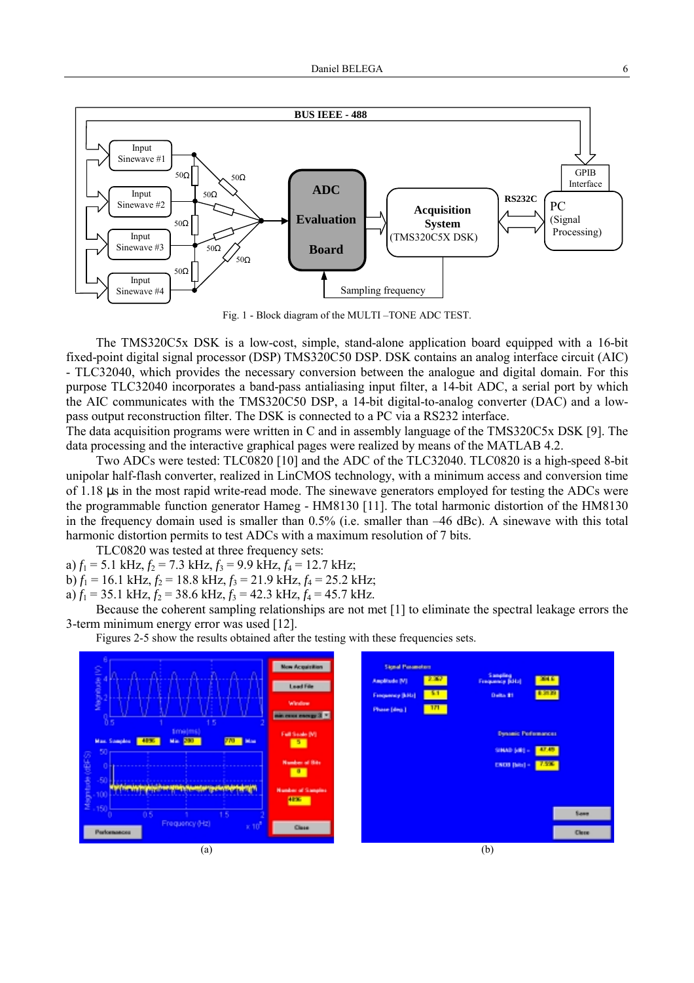

Fig. 1 - Block diagram of the MULTI –TONE ADC TEST.

The TMS320C5x DSK is a low-cost, simple, stand-alone application board equipped with a 16-bit fixed-point digital signal processor (DSP) TMS320C50 DSP. DSK contains an analog interface circuit (AIC) - TLC32040, which provides the necessary conversion between the analogue and digital domain. For this purpose TLC32040 incorporates a band-pass antialiasing input filter, a 14-bit ADC, a serial port by which the AIC communicates with the TMS320C50 DSP, a 14-bit digital-to-analog converter (DAC) and a lowpass output reconstruction filter. The DSK is connected to a PC via a RS232 interface.

The data acquisition programs were written in C and in assembly language of the TMS320C5x DSK [9]. The data processing and the interactive graphical pages were realized by means of the MATLAB 4.2.

Two ADCs were tested: TLC0820 [10] and the ADC of the TLC32040. TLC0820 is a high-speed 8-bit unipolar half-flash converter, realized in LinCMOS technology, with a minimum access and conversion time of 1.18 µs in the most rapid write-read mode. The sinewave generators employed for testing the ADCs were the programmable function generator Hameg - HM8130 [11]. The total harmonic distortion of the HM8130 in the frequency domain used is smaller than 0.5% (i.e. smaller than –46 dBc). A sinewave with this total harmonic distortion permits to test ADCs with a maximum resolution of 7 bits.

TLC0820 was tested at three frequency sets:

a)  $f_1 = 5.1$  kHz,  $f_2 = 7.3$  kHz,  $f_3 = 9.9$  kHz,  $f_4 = 12.7$  kHz;

b)  $f_1 = 16.1$  kHz,  $f_2 = 18.8$  kHz,  $f_3 = 21.9$  kHz,  $f_4 = 25.2$  kHz;

a)  $f_1 = 35.1 \text{ kHz}, f_2 = 38.6 \text{ kHz}, f_3 = 42.3 \text{ kHz}, f_4 = 45.7 \text{ kHz}.$ 

Because the coherent sampling relationships are not met [1] to eliminate the spectral leakage errors the 3-term minimum energy error was used [12].

Figures 2-5 show the results obtained after the testing with these frequencies sets.

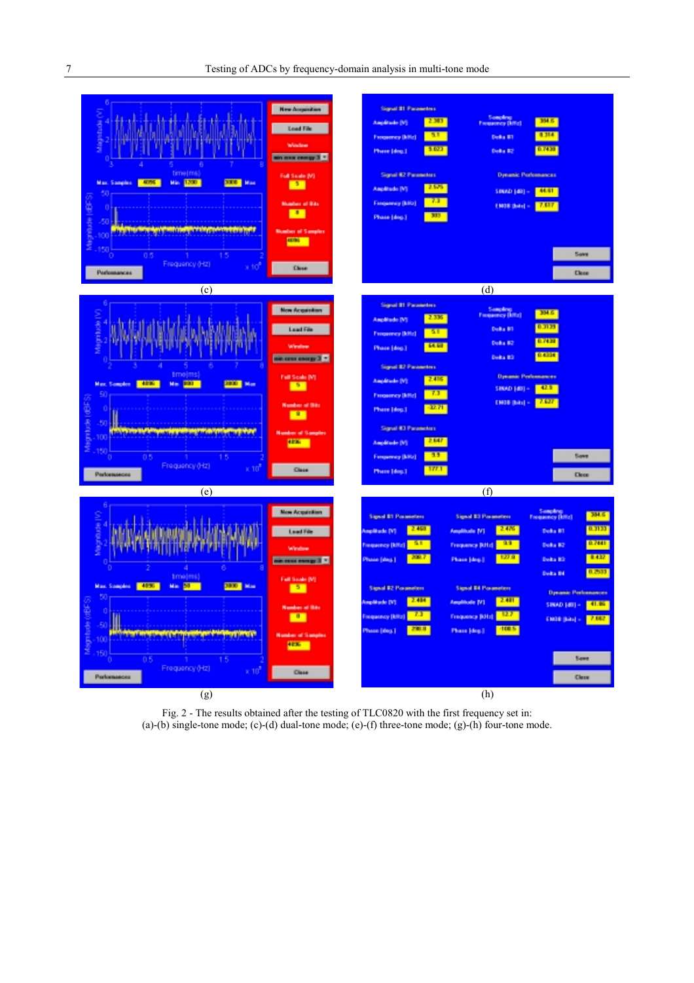

Fig. 2 - The results obtained after the testing of TLC0820 with the first frequency set in: (a)-(b) single-tone mode; (c)-(d) dual-tone mode; (e)-(f) three-tone mode; (g)-(h) four-tone mode.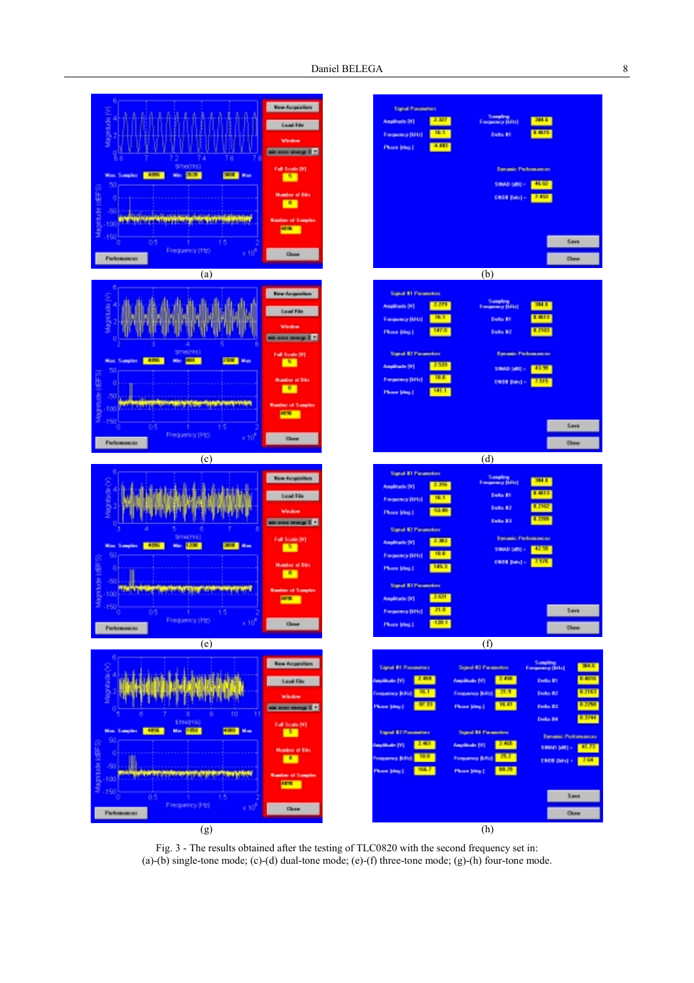

Fig. 3 - The results obtained after the testing of TLC0820 with the second frequency set in: (a)-(b) single-tone mode; (c)-(d) dual-tone mode; (e)-(f) three-tone mode; (g)-(h) four-tone mode.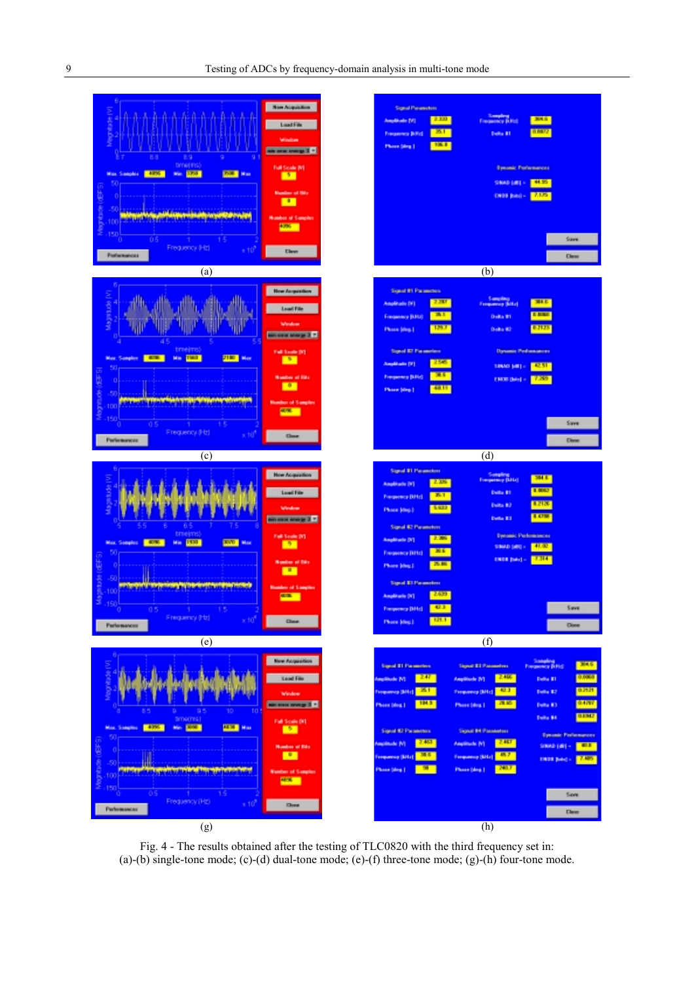

Fig. 4 - The results obtained after the testing of TLC0820 with the third frequency set in: (a)-(b) single-tone mode; (c)-(d) dual-tone mode; (e)-(f) three-tone mode; (g)-(h) four-tone mode.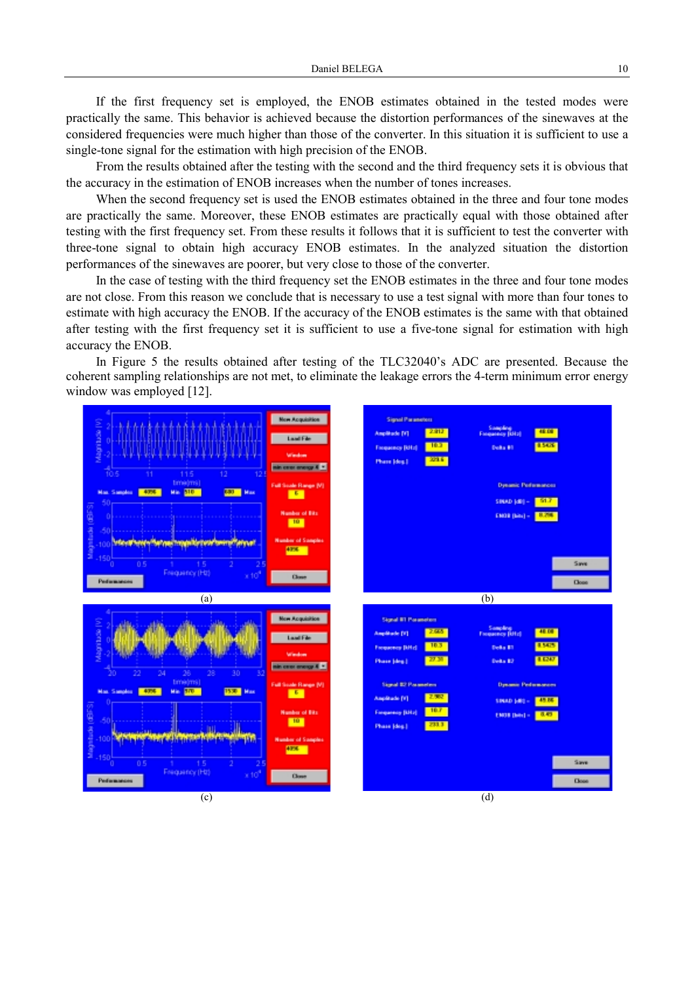If the first frequency set is employed, the ENOB estimates obtained in the tested modes were practically the same. This behavior is achieved because the distortion performances of the sinewaves at the considered frequencies were much higher than those of the converter. In this situation it is sufficient to use a single-tone signal for the estimation with high precision of the ENOB.

From the results obtained after the testing with the second and the third frequency sets it is obvious that the accuracy in the estimation of ENOB increases when the number of tones increases.

When the second frequency set is used the ENOB estimates obtained in the three and four tone modes are practically the same. Moreover, these ENOB estimates are practically equal with those obtained after testing with the first frequency set. From these results it follows that it is sufficient to test the converter with three-tone signal to obtain high accuracy ENOB estimates. In the analyzed situation the distortion performances of the sinewaves are poorer, but very close to those of the converter.

In the case of testing with the third frequency set the ENOB estimates in the three and four tone modes are not close. From this reason we conclude that is necessary to use a test signal with more than four tones to estimate with high accuracy the ENOB. If the accuracy of the ENOB estimates is the same with that obtained after testing with the first frequency set it is sufficient to use a five-tone signal for estimation with high accuracy the ENOB.

In Figure 5 the results obtained after testing of the TLC32040's ADC are presented. Because the coherent sampling relationships are not met, to eliminate the leakage errors the 4-term minimum error energy window was employed [12].

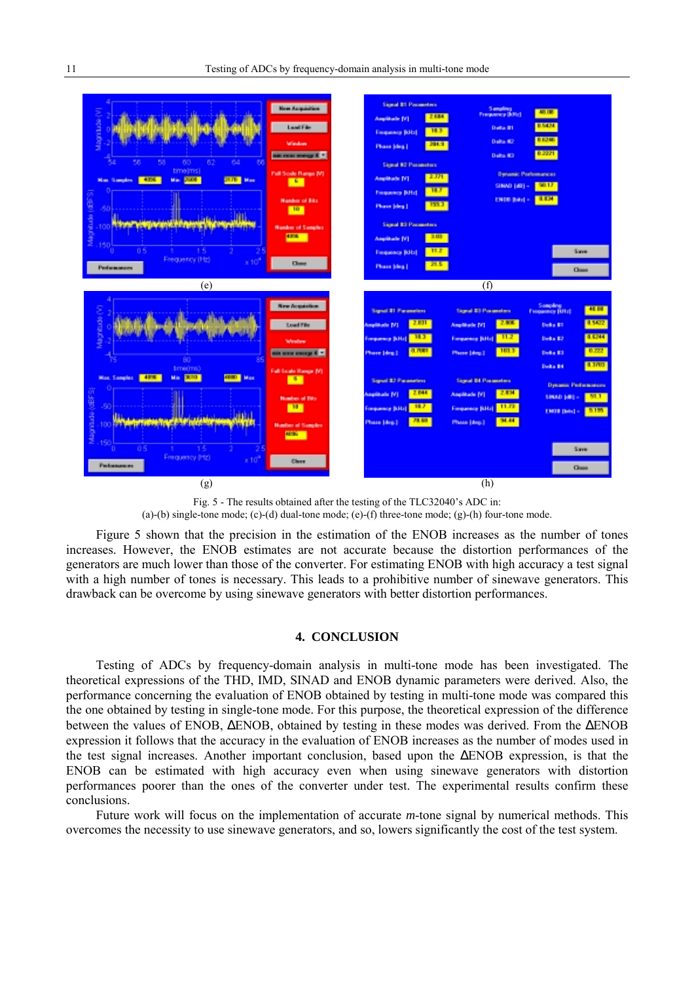

Fig. 5 - The results obtained after the testing of the TLC32040's ADC in:  $(a)$ - $(b)$  single-tone mode;  $(c)$ - $(d)$  dual-tone mode;  $(e)$ - $(f)$  three-tone mode;  $(g)$ - $(h)$  four-tone mode.

Figure 5 shown that the precision in the estimation of the ENOB increases as the number of tones increases. However, the ENOB estimates are not accurate because the distortion performances of the generators are much lower than those of the converter. For estimating ENOB with high accuracy a test signal with a high number of tones is necessary. This leads to a prohibitive number of sinewave generators. This drawback can be overcome by using sinewave generators with better distortion performances.

### **4. CONCLUSION**

Testing of ADCs by frequency-domain analysis in multi-tone mode has been investigated. The theoretical expressions of the THD, IMD, SINAD and ENOB dynamic parameters were derived. Also, the performance concerning the evaluation of ENOB obtained by testing in multi-tone mode was compared this the one obtained by testing in single-tone mode. For this purpose, the theoretical expression of the difference between the values of ENOB, ∆ENOB, obtained by testing in these modes was derived. From the ∆ENOB expression it follows that the accuracy in the evaluation of ENOB increases as the number of modes used in the test signal increases. Another important conclusion, based upon the ∆ENOB expression, is that the ENOB can be estimated with high accuracy even when using sinewave generators with distortion performances poorer than the ones of the converter under test. The experimental results confirm these conclusions.

Future work will focus on the implementation of accurate *m*-tone signal by numerical methods. This overcomes the necessity to use sinewave generators, and so, lowers significantly the cost of the test system.